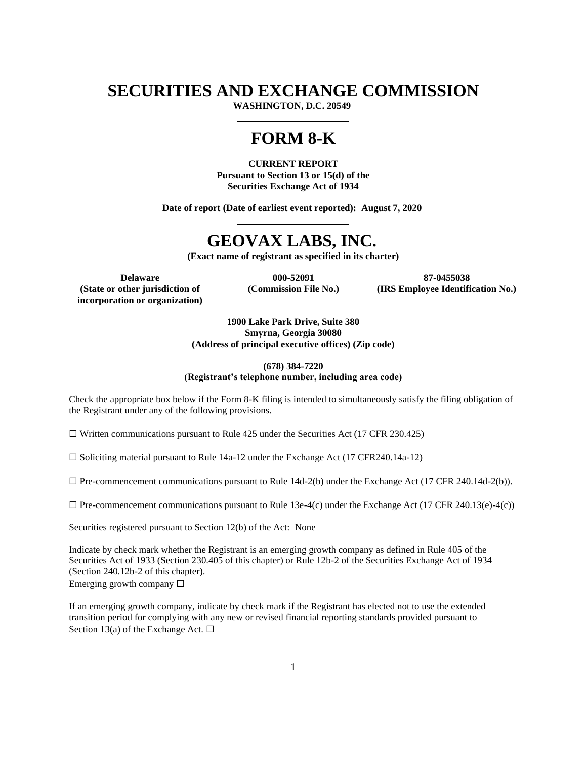## **SECURITIES AND EXCHANGE COMMISSION**

**WASHINGTON, D.C. 20549**

# **FORM 8-K**

**CURRENT REPORT Pursuant to Section 13 or 15(d) of the Securities Exchange Act of 1934**

**Date of report (Date of earliest event reported): August 7, 2020**

# **GEOVAX LABS, INC.**

**(Exact name of registrant as specified in its charter)**

**(State or other jurisdiction of**

**incorporation or organization)**

**(Commission File No.)**

**Delaware 000-52091 87-0455038 (IRS Employee Identification No.)**

> **1900 Lake Park Drive, Suite 380 Smyrna, Georgia 30080 (Address of principal executive offices) (Zip code)**

> > **(678) 384-7220**

**(Registrant's telephone number, including area code)**

Check the appropriate box below if the Form 8-K filing is intended to simultaneously satisfy the filing obligation of the Registrant under any of the following provisions.

 $\Box$  Written communications pursuant to Rule 425 under the Securities Act (17 CFR 230.425)

 $\Box$  Soliciting material pursuant to Rule 14a-12 under the Exchange Act (17 CFR240.14a-12)

 $\Box$  Pre-commencement communications pursuant to Rule 14d-2(b) under the Exchange Act (17 CFR 240.14d-2(b)).

 $\Box$  Pre-commencement communications pursuant to Rule 13e-4(c) under the Exchange Act (17 CFR 240.13(e)-4(c))

Securities registered pursuant to Section 12(b) of the Act: None

Indicate by check mark whether the Registrant is an emerging growth company as defined in Rule 405 of the Securities Act of 1933 (Section 230.405 of this chapter) or Rule 12b-2 of the Securities Exchange Act of 1934 (Section 240.12b-2 of this chapter). Emerging growth company  $\Box$ 

If an emerging growth company, indicate by check mark if the Registrant has elected not to use the extended transition period for complying with any new or revised financial reporting standards provided pursuant to Section 13(a) of the Exchange Act.  $\Box$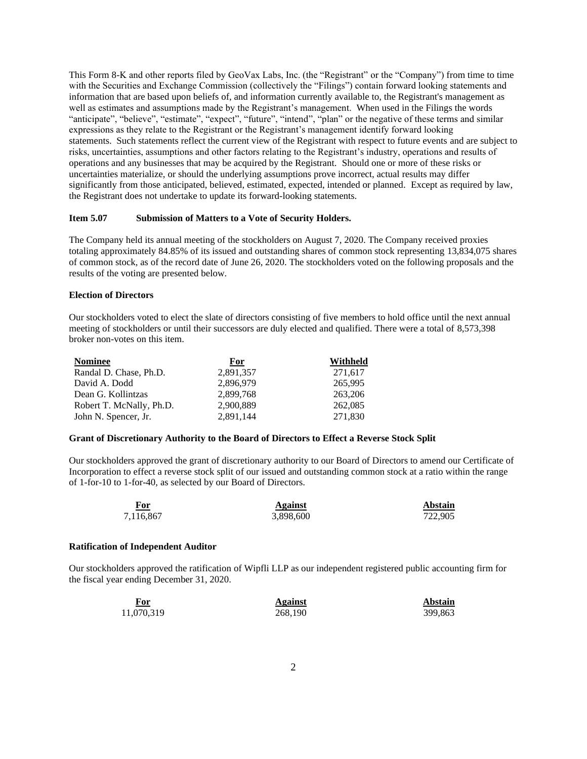This Form 8-K and other reports filed by GeoVax Labs, Inc. (the "Registrant" or the "Company") from time to time with the Securities and Exchange Commission (collectively the "Filings") contain forward looking statements and information that are based upon beliefs of, and information currently available to, the Registrant's management as well as estimates and assumptions made by the Registrant's management. When used in the Filings the words "anticipate", "believe", "estimate", "expect", "future", "intend", "plan" or the negative of these terms and similar expressions as they relate to the Registrant or the Registrant's management identify forward looking statements. Such statements reflect the current view of the Registrant with respect to future events and are subject to risks, uncertainties, assumptions and other factors relating to the Registrant's industry, operations and results of operations and any businesses that may be acquired by the Registrant. Should one or more of these risks or uncertainties materialize, or should the underlying assumptions prove incorrect, actual results may differ significantly from those anticipated, believed, estimated, expected, intended or planned. Except as required by law, the Registrant does not undertake to update its forward-looking statements.

### **Item 5.07 Submission of Matters to a Vote of Security Holders.**

The Company held its annual meeting of the stockholders on August 7, 2020. The Company received proxies totaling approximately 84.85% of its issued and outstanding shares of common stock representing 13,834,075 shares of common stock, as of the record date of June 26, 2020. The stockholders voted on the following proposals and the results of the voting are presented below.

### **Election of Directors**

Our stockholders voted to elect the slate of directors consisting of five members to hold office until the next annual meeting of stockholders or until their successors are duly elected and qualified. There were a total of 8,573,398 broker non-votes on this item.

| <b>Nominee</b>           | For       | Withheld |
|--------------------------|-----------|----------|
| Randal D. Chase, Ph.D.   | 2,891,357 | 271,617  |
| David A. Dodd            | 2.896.979 | 265,995  |
| Dean G. Kollintzas       | 2.899.768 | 263,206  |
| Robert T. McNally, Ph.D. | 2,900,889 | 262,085  |
| John N. Spencer, Jr.     | 2,891,144 | 271,830  |

## **Grant of Discretionary Authority to the Board of Directors to Effect a Reverse Stock Split**

Our stockholders approved the grant of discretionary authority to our Board of Directors to amend our Certificate of Incorporation to effect a reverse stock split of our issued and outstanding common stock at a ratio within the range of 1-for-10 to 1-for-40, as selected by our Board of Directors.

| For<br>$\sim$ $\sim$ $\sim$ $\sim$ | Against   | <b>Abstain</b> |
|------------------------------------|-----------|----------------|
| 7,116,867                          | 3,898,600 | 722.905        |

#### **Ratification of Independent Auditor**

Our stockholders approved the ratification of Wipfli LLP as our independent registered public accounting firm for the fiscal year ending December 31, 2020.

| For<br>___ | Against | <b>Abstain</b> |  |
|------------|---------|----------------|--|
| 11,070,319 | 268,190 | 399,863        |  |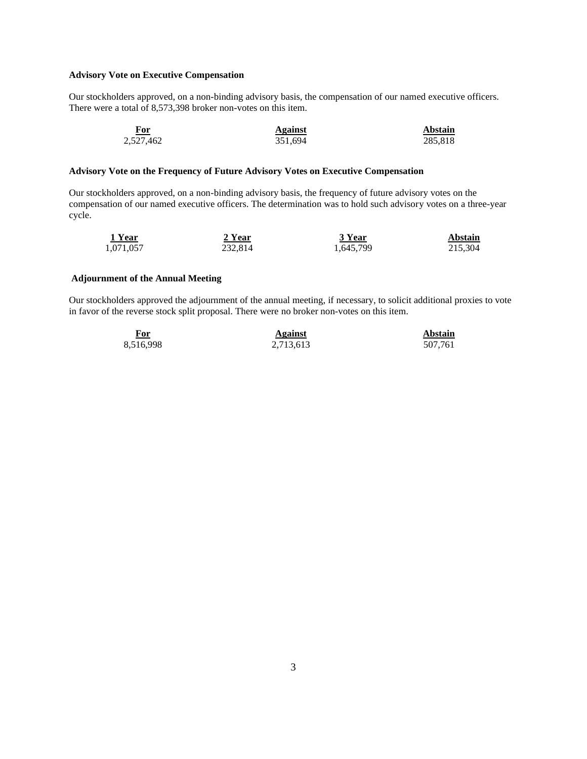## **Advisory Vote on Executive Compensation**

Our stockholders approved, on a non-binding advisory basis, the compensation of our named executive officers. There were a total of 8,573,398 broker non-votes on this item.

| For<br>$\sim$ $\sim$ $\sim$ $\sim$ $\sim$ | Against | Abstain |
|-------------------------------------------|---------|---------|
| 2,527,462                                 | 351,694 | 285,818 |

## **Advisory Vote on the Frequency of Future Advisory Votes on Executive Compensation**

Our stockholders approved, on a non-binding advisory basis, the frequency of future advisory votes on the compensation of our named executive officers. The determination was to hold such advisory votes on a three-year cycle.

| 1 Year    | 2 Year  | 3 Year    | Abstain |
|-----------|---------|-----------|---------|
| 1,071,057 | 232,814 | 1,645,799 | 215.304 |

## **Adjournment of the Annual Meeting**

Our stockholders approved the adjournment of the annual meeting, if necessary, to solicit additional proxies to vote in favor of the reverse stock split proposal. There were no broker non-votes on this item.

| For<br>$\sim$ | Against   | Abstain |
|---------------|-----------|---------|
| 8,516,998     | 2,713,613 | 507,761 |